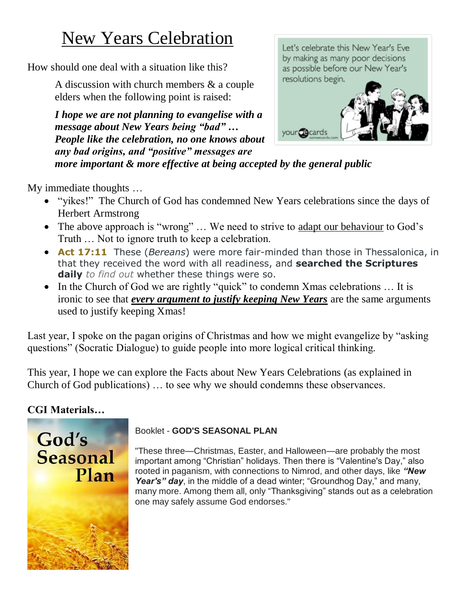# New Years Celebration

How should one deal with a situation like this?

A discussion with church members & a couple elders when the following point is raised:

*I hope we are not planning to evangelise with a message about New Years being "bad" … People like the celebration, no one knows about any bad origins, and "positive" messages are more important & more effective at being accepted by the general public*



My immediate thoughts …

- "yikes!" The Church of God has condemned New Years celebrations since the days of Herbert Armstrong
- The above approach is "wrong" ... We need to strive to adapt our behaviour to God's Truth … Not to ignore truth to keep a celebration.
- **Act 17:11** These (*Bereans*) were more fair-minded than those in Thessalonica, in that they received the word with all readiness, and **searched the Scriptures daily** *to find out* whether these things were so.
- In the Church of God we are rightly "quick" to condemn Xmas celebrations ... It is ironic to see that *every argument to justify keeping New Years* are the same arguments used to justify keeping Xmas!

Last year, I spoke on the pagan origins of Christmas and how we might evangelize by "asking questions" (Socratic Dialogue) to guide people into more logical critical thinking.

This year, I hope we can explore the Facts about New Years Celebrations (as explained in Church of God publications) … to see why we should condemns these observances.

## **CGI Materials…**



#### Booklet - **GOD'S SEASONAL PLAN**

"These three—Christmas, Easter, and Halloween—are probably the most important among "Christian" holidays. Then there is "Valentine's Day," also rooted in paganism, with connections to Nimrod, and other days, like *"New Year's" day*, in the middle of a dead winter; "Groundhog Day," and many, many more. Among them all, only "Thanksgiving" stands out as a celebration one may safely assume God endorses."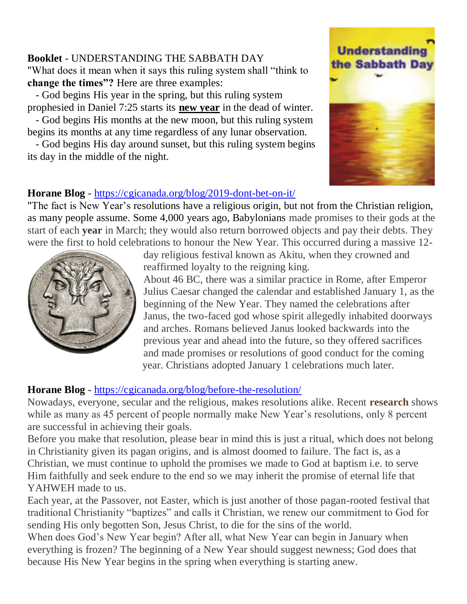#### **Booklet** - UNDERSTANDING THE SABBATH DAY "What does it mean when it says this ruling system shall "think to **change the times"?** Here are three examples:

 - God begins His year in the spring, but this ruling system prophesied in Daniel 7:25 starts its **new year** in the dead of winter.

 - God begins His months at the new moon, but this ruling system begins its months at any time regardless of any lunar observation.

 - God begins His day around sunset, but this ruling system begins its day in the middle of the night.

## **Understanding** the Sabbath Day



#### **Horane Blog** - <https://cgicanada.org/blog/2019-dont-bet-on-it/>

"The fact is New Year's resolutions have a religious origin, but not from the Christian religion, as many people assume. Some 4,000 years ago, Babylonians made promises to their gods at the start of each **year** in March; they would also return borrowed objects and pay their debts. They were the first to hold celebrations to honour the New Year. This occurred during a massive 12-



day religious festival known as Akitu, when they crowned and reaffirmed loyalty to the reigning king.

About 46 BC, there was a similar practice in Rome, after Emperor Julius Caesar changed the calendar and established January 1, as the beginning of the New Year. They named the celebrations after Janus, the two-faced god whose spirit allegedly inhabited doorways and arches. Romans believed Janus looked backwards into the previous year and ahead into the future, so they offered sacrifices and made promises or resolutions of good conduct for the coming year. Christians adopted January 1 celebrations much later.

## **Horane Blog** - <https://cgicanada.org/blog/before-the-resolution/>

Nowadays, everyone, secular and the religious, makes resolutions alike. Recent **[research](http://www.statisticbrain.com/new-years-resolution-statistics/)** shows while as many as 45 percent of people normally make New Year's resolutions, only 8 percent are successful in achieving their goals.

Before you make that resolution, please bear in mind this is just a ritual, which does not belong in Christianity given its pagan origins, and is almost doomed to failure. The fact is, as a Christian, we must continue to uphold the promises we made to God at baptism i.e. to serve Him faithfully and seek endure to the end so we may inherit the promise of eternal life that YAHWEH made to us.

Each year, at the Passover, not Easter, which is just another of those pagan-rooted festival that traditional Christianity "baptizes" and calls it Christian, we renew our commitment to God for sending His only begotten Son, Jesus Christ, to die for the sins of the world.

When does God's New Year begin? After all, what New Year can begin in January when everything is frozen? The beginning of a New Year should suggest newness; God does that because His New Year begins in the spring when everything is starting anew.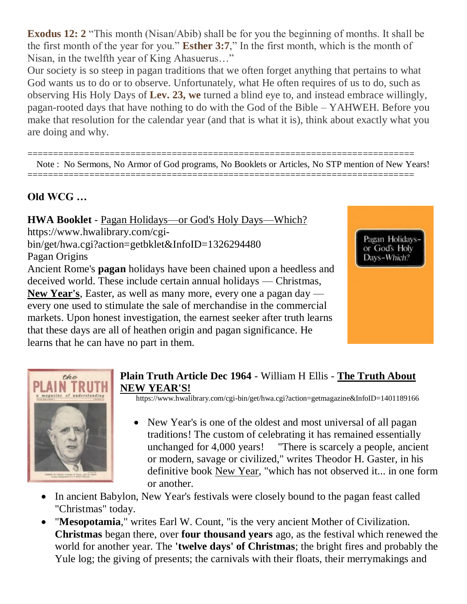**[Exodus](https://biblia.com/bible/gs-netbible/Exod%2012.%202) 12: 2** "This month (Nisan/Abib) shall be for you the beginning of months. It shall be the first month of the year for you." **[Esther](https://biblia.com/bible/gs-netbible/Esther%203.7) 3:7**," In the first month, which is the month of Nisan, in the twelfth year of King Ahasuerus…"

Our society is so steep in pagan traditions that we often forget anything that pertains to what God wants us to do or to observe. Unfortunately, what He often requires of us to do, such as observing His Holy Days of **[Lev.](https://biblia.com/bible/we/Lev.%2023) 23, we** turned a blind eye to, and instead embrace willingly, pagan-rooted days that have nothing to do with the God of the Bible – YAHWEH. Before you make that resolution for the calendar year (and that is what it is), think about exactly what you are doing and why.

=========================================================================== Note : No Sermons, No Armor of God programs, No Booklets or Articles, No STP mention of New Years! ===========================================================================

## **Old WCG …**

**HWA Booklet** - Pagan Holidays—or God's Holy Days—Which? https://www.hwalibrary.com/cgibin/get/hwa.cgi?action=getbklet&InfoID=1326294480 Pagan Origins Ancient Rome's **pagan** holidays have been chained upon a heedless and deceived world. These include certain annual holidays — Christmas, **New Year's**, Easter, as well as many more, every one a pagan day every one used to stimulate the sale of merchandise in the commercial markets. Upon honest investigation, the earnest seeker after truth learns that these days are all of heathen origin and pagan significance. He learns that he can have no part in them.





#### **Plain Truth Article Dec 1964** - William H Ellis - **The Truth About NEW YEAR'S!**

https://www.hwalibrary.com/cgi-bin/get/hwa.cgi?action=getmagazine&InfoID=1401189166

- New Year's is one of the oldest and most universal of all pagan traditions! The custom of celebrating it has remained essentially unchanged for 4,000 years! "There is scarcely a people, ancient or modern, savage or civilized," writes Theodor H. Gaster, in his definitive book New Year, "which has not observed it... in one form or another.
- In ancient Babylon, New Year's festivals were closely bound to the pagan feast called "Christmas" today.
- "**Mesopotamia**," writes Earl W. Count, "is the very ancient Mother of Civilization. **Christmas** began there, over **four thousand years** ago, as the festival which renewed the world for another year. The **'twelve days' of Christmas**; the bright fires and probably the Yule log; the giving of presents; the carnivals with their floats, their merrymakings and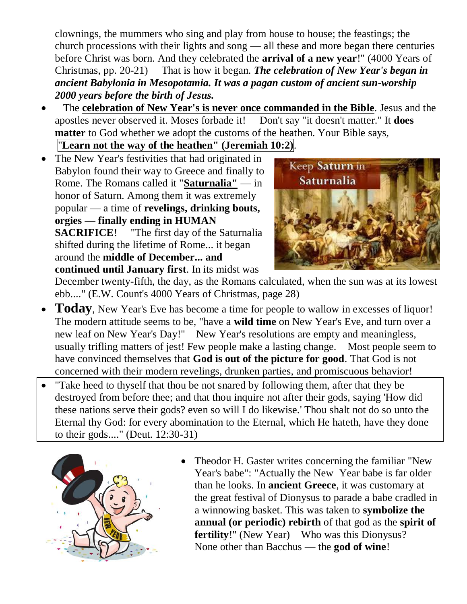clownings, the mummers who sing and play from house to house; the feastings; the church processions with their lights and song — all these and more began there centuries before Christ was born. And they celebrated the **arrival of a new year**!" (4000 Years of Christmas, pp. 20-21) That is how it began. *The celebration of New Year's began in ancient Babylonia in Mesopotamia. It was a pagan custom of ancient sun-worship 2000 years before the birth of Jesus.*

 The **celebration of New Year's is never once commanded in the Bible**. Jesus and the apostles never observed it. Moses forbade it! Don't say "it doesn't matter." It **does matter** to God whether we adopt the customs of the heathen. Your Bible says,

"**Learn not the way of the heathen" (Jeremiah 10:2)**.

• The New Year's festivities that had originated in Babylon found their way to Greece and finally to Rome. The Romans called it "**Saturnalia"** — in honor of Saturn. Among them it was extremely popular — a time of **revelings, drinking bouts, orgies — finally ending in HUMAN SACRIFICE**! "The first day of the Saturnalia shifted during the lifetime of Rome... it began around the **middle of December... and continued until January first**. In its midst was



December twenty-fifth, the day, as the Romans calculated, when the sun was at its lowest ebb...." (E.W. Count's 4000 Years of Christmas, page 28)

- **Today**, New Year's Eve has become a time for people to wallow in excesses of liquor! The modern attitude seems to be, "have a **wild time** on New Year's Eve, and turn over a new leaf on New Year's Day!" New Year's resolutions are empty and meaningless, usually trifling matters of jest! Few people make a lasting change. Most people seem to have convinced themselves that **God is out of the picture for good**. That God is not concerned with their modern revelings, drunken parties, and promiscuous behavior!
- "Take heed to thyself that thou be not snared by following them, after that they be destroyed from before thee; and that thou inquire not after their gods, saying 'How did these nations serve their gods? even so will I do likewise.' Thou shalt not do so unto the Eternal thy God: for every abomination to the Eternal, which He hateth, have they done to their gods...." (Deut. 12:30-31)



 Theodor H. Gaster writes concerning the familiar "New Year's babe": "Actually the New Year babe is far older than he looks. In **ancient Greece**, it was customary at the great festival of Dionysus to parade a babe cradled in a winnowing basket. This was taken to **symbolize the annual (or periodic) rebirth** of that god as the **spirit of fertility**!" (New Year) Who was this Dionysus? None other than Bacchus — the **god of wine**!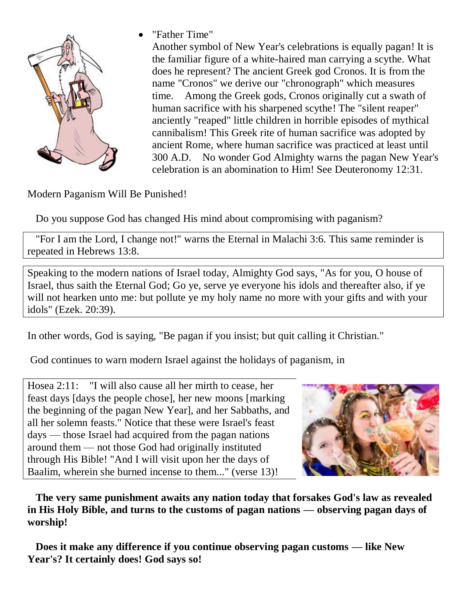

"Father Time"

Another symbol of New Year's celebrations is equally pagan! It is the familiar figure of a white-haired man carrying a scythe. What does he represent? The ancient Greek god Cronos. It is from the name "Cronos" we derive our "chronograph" which measures time. Among the Greek gods, Cronos originally cut a swath of human sacrifice with his sharpened scythe! The "silent reaper" anciently "reaped" little children in horrible episodes of mythical cannibalism! This Greek rite of human sacrifice was adopted by ancient Rome, where human sacrifice was practiced at least until 300 A.D. No wonder God Almighty warns the pagan New Year's celebration is an abomination to Him! See Deuteronomy 12:31.

Modern Paganism Will Be Punished!

Do you suppose God has changed His mind about compromising with paganism?

 "For I am the Lord, I change not!" warns the Eternal in Malachi 3:6. This same reminder is repeated in Hebrews 13:8.

Speaking to the modern nations of Israel today, Almighty God says, "As for you, O house of Israel, thus saith the Eternal God; Go ye, serve ye everyone his idols and thereafter also, if ye will not hearken unto me: but pollute ye my holy name no more with your gifts and with your idols" (Ezek. 20:39).

In other words, God is saying, "Be pagan if you insist; but quit calling it Christian."

God continues to warn modern Israel against the holidays of paganism, in

Hosea 2:11: "I will also cause all her mirth to cease, her feast days [days the people chose], her new moons [marking the beginning of the pagan New Year], and her Sabbaths, and all her solemn feasts." Notice that these were Israel's feast days — those Israel had acquired from the pagan nations around them — not those God had originally instituted through His Bible! "And I will visit upon her the days of Baalim, wherein she burned incense to them..." (verse 13)!



 **The very same punishment awaits any nation today that forsakes God's law as revealed in His Holy Bible, and turns to the customs of pagan nations — observing pagan days of worship!**

 **Does it make any difference if you continue observing pagan customs — like New Year's? It certainly does! God says so!**